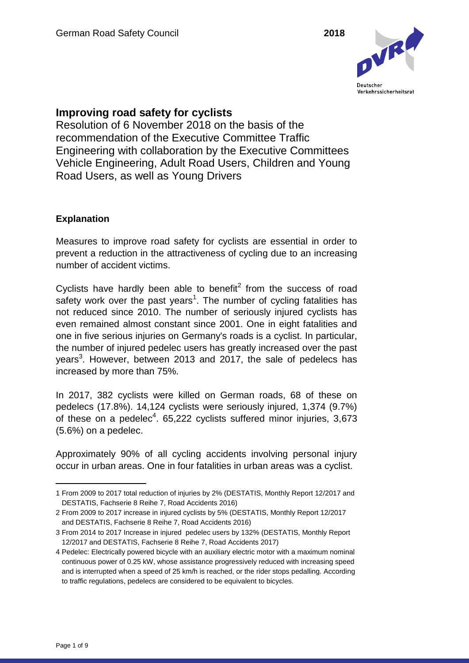

# **Improving road safety for cyclists**

Resolution of 6 November 2018 on the basis of the recommendation of the Executive Committee Traffic Engineering with collaboration by the Executive Committees Vehicle Engineering, Adult Road Users, Children and Young Road Users, as well as Young Drivers

## **Explanation**

Measures to improve road safety for cyclists are essential in order to prevent a reduction in the attractiveness of cycling due to an increasing number of accident victims.

Cyclists have hardly been able to benefit<sup>2</sup> from the success of road safety work over the past years<sup>1</sup>. The number of cycling fatalities has not reduced since 2010. The number of seriously injured cyclists has even remained almost constant since 2001. One in eight fatalities and one in five serious injuries on Germany's roads is a cyclist. In particular, the number of injured pedelec users has greatly increased over the past years<sup>3</sup>. However, between 2013 and 2017, the sale of pedelecs has increased by more than 75%.

In 2017, 382 cyclists were killed on German roads, 68 of these on pedelecs (17.8%). 14,124 cyclists were seriously injured, 1,374 (9.7%) of these on a pedelec<sup>4</sup>. 65,222 cyclists suffered minor injuries, 3,673 (5.6%) on a pedelec.

Approximately 90% of all cycling accidents involving personal injury occur in urban areas. One in four fatalities in urban areas was a cyclist.

<sup>1</sup> From 2009 to 2017 total reduction of injuries by 2% (DESTATIS, Monthly Report 12/2017 and DESTATIS, Fachserie 8 Reihe 7, Road Accidents 2016)

<sup>2</sup> From 2009 to 2017 increase in injured cyclists by 5% (DESTATIS, Monthly Report 12/2017 and DESTATIS, Fachserie 8 Reihe 7, Road Accidents 2016)

<sup>3</sup> From 2014 to 2017 Increase in injured pedelec users by 132% (DESTATIS, Monthly Report 12/2017 and DESTATIS, Fachserie 8 Reihe 7, Road Accidents 2017)

<sup>4</sup> Pedelec: Electrically powered bicycle with an auxiliary electric motor with a maximum nominal continuous power of 0.25 kW, whose assistance progressively reduced with increasing speed and is interrupted when a speed of 25 km/h is reached, or the rider stops pedalling. According to traffic regulations, pedelecs are considered to be equivalent to bicycles.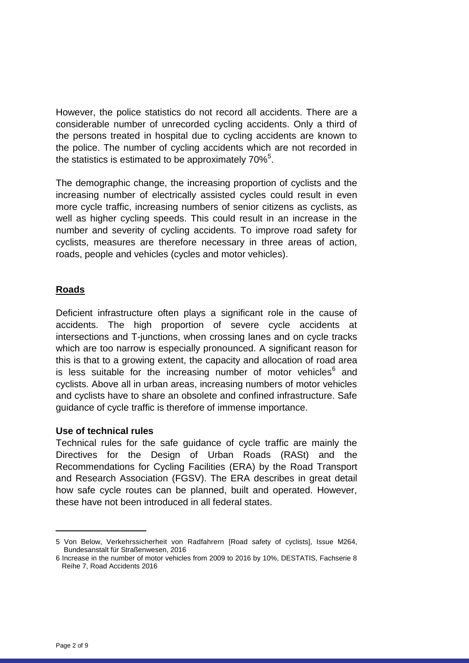However, the police statistics do not record all accidents. There are a considerable number of unrecorded cycling accidents. Only a third of the persons treated in hospital due to cycling accidents are known to the police. The number of cycling accidents which are not recorded in the statistics is estimated to be approximately 70% $5$ .

The demographic change, the increasing proportion of cyclists and the increasing number of electrically assisted cycles could result in even more cycle traffic, increasing numbers of senior citizens as cyclists, as well as higher cycling speeds. This could result in an increase in the number and severity of cycling accidents. To improve road safety for cyclists, measures are therefore necessary in three areas of action, roads, people and vehicles (cycles and motor vehicles).

## **Roads**

Deficient infrastructure often plays a significant role in the cause of accidents. The high proportion of severe cycle accidents at intersections and T-junctions, when crossing lanes and on cycle tracks which are too narrow is especially pronounced. A significant reason for this is that to a growing extent, the capacity and allocation of road area is less suitable for the increasing number of motor vehicles $6$  and cyclists. Above all in urban areas, increasing numbers of motor vehicles and cyclists have to share an obsolete and confined infrastructure. Safe guidance of cycle traffic is therefore of immense importance.

#### **Use of technical rules**

Technical rules for the safe guidance of cycle traffic are mainly the Directives for the Design of Urban Roads (RASt) and the Recommendations for Cycling Facilities (ERA) by the Road Transport and Research Association (FGSV). The ERA describes in great detail how safe cycle routes can be planned, built and operated. However, these have not been introduced in all federal states.

<sup>5</sup> Von Below, Verkehrssicherheit von Radfahrern [Road safety of cyclists], Issue M264, Bundesanstalt für Straßenwesen, 2016

<sup>6</sup> Increase in the number of motor vehicles from 2009 to 2016 by 10%, DESTATIS, Fachserie 8 Reihe 7, Road Accidents 2016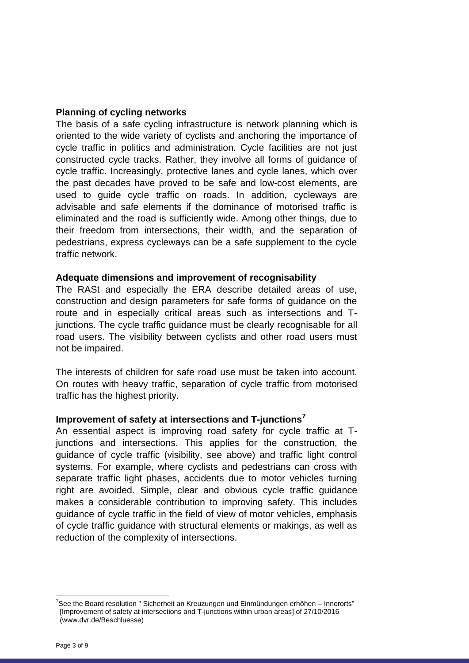#### **Planning of cycling networks**

The basis of a safe cycling infrastructure is network planning which is oriented to the wide variety of cyclists and anchoring the importance of cycle traffic in politics and administration. Cycle facilities are not just constructed cycle tracks. Rather, they involve all forms of guidance of cycle traffic. Increasingly, protective lanes and cycle lanes, which over the past decades have proved to be safe and low-cost elements, are used to guide cycle traffic on roads. In addition, cycleways are advisable and safe elements if the dominance of motorised traffic is eliminated and the road is sufficiently wide. Among other things, due to their freedom from intersections, their width, and the separation of pedestrians, express cycleways can be a safe supplement to the cycle traffic network.

#### **Adequate dimensions and improvement of recognisability**

The RASt and especially the ERA describe detailed areas of use, construction and design parameters for safe forms of guidance on the route and in especially critical areas such as intersections and Tjunctions. The cycle traffic guidance must be clearly recognisable for all road users. The visibility between cyclists and other road users must not be impaired.

The interests of children for safe road use must be taken into account. On routes with heavy traffic, separation of cycle traffic from motorised traffic has the highest priority.

#### **Improvement of safety at intersections and T-junctions<sup>7</sup>**

An essential aspect is improving road safety for cycle traffic at Tjunctions and intersections. This applies for the construction, the guidance of cycle traffic (visibility, see above) and traffic light control systems. For example, where cyclists and pedestrians can cross with separate traffic light phases, accidents due to motor vehicles turning right are avoided. Simple, clear and obvious cycle traffic guidance makes a considerable contribution to improving safety. This includes guidance of cycle traffic in the field of view of motor vehicles, emphasis of cycle traffic guidance with structural elements or makings, as well as reduction of the complexity of intersections.

 $\overline{a}$ 

<sup>&</sup>lt;sup>7</sup>See the Board resolution " Sicherheit an Kreuzungen und Einmündungen erhöhen – Innerorts" [Improvement of safety at intersections and T-junctions within urban areas] of 27/10/2016 (www.dvr.de/Beschluesse)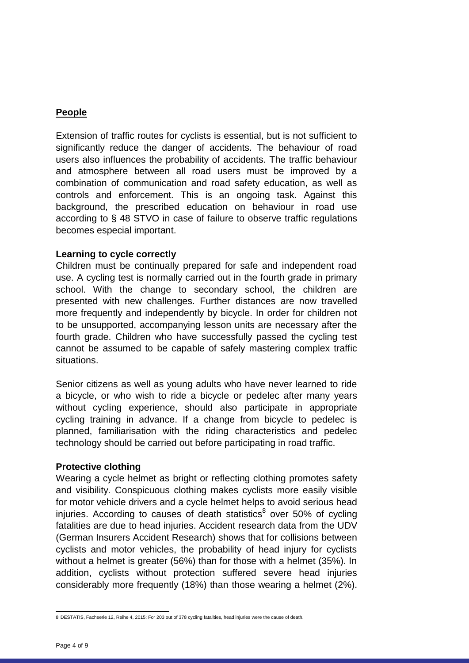## **People**

Extension of traffic routes for cyclists is essential, but is not sufficient to significantly reduce the danger of accidents. The behaviour of road users also influences the probability of accidents. The traffic behaviour and atmosphere between all road users must be improved by a combination of communication and road safety education, as well as controls and enforcement. This is an ongoing task. Against this background, the prescribed education on behaviour in road use according to § 48 STVO in case of failure to observe traffic regulations becomes especial important.

#### **Learning to cycle correctly**

Children must be continually prepared for safe and independent road use. A cycling test is normally carried out in the fourth grade in primary school. With the change to secondary school, the children are presented with new challenges. Further distances are now travelled more frequently and independently by bicycle. In order for children not to be unsupported, accompanying lesson units are necessary after the fourth grade. Children who have successfully passed the cycling test cannot be assumed to be capable of safely mastering complex traffic situations.

Senior citizens as well as young adults who have never learned to ride a bicycle, or who wish to ride a bicycle or pedelec after many years without cycling experience, should also participate in appropriate cycling training in advance. If a change from bicycle to pedelec is planned, familiarisation with the riding characteristics and pedelec technology should be carried out before participating in road traffic.

#### **Protective clothing**

Wearing a cycle helmet as bright or reflecting clothing promotes safety and visibility. Conspicuous clothing makes cyclists more easily visible for motor vehicle drivers and a cycle helmet helps to avoid serious head injuries. According to causes of death statistics<sup>8</sup> over 50% of cycling fatalities are due to head injuries. Accident research data from the UDV (German Insurers Accident Research) shows that for collisions between cyclists and motor vehicles, the probability of head injury for cyclists without a helmet is greater (56%) than for those with a helmet (35%). In addition, cyclists without protection suffered severe head injuries considerably more frequently (18%) than those wearing a helmet (2%).

 8 DESTATIS, Fachserie 12, Reihe 4, 2015: For 203 out of 378 cycling fatalities, head injuries were the cause of death.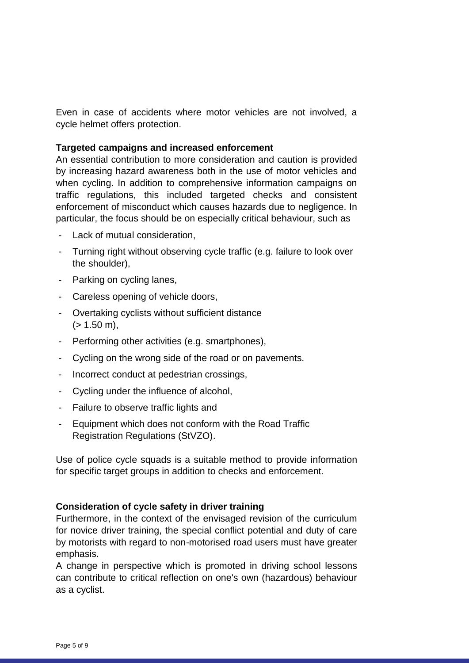Even in case of accidents where motor vehicles are not involved, a cycle helmet offers protection.

#### **Targeted campaigns and increased enforcement**

An essential contribution to more consideration and caution is provided by increasing hazard awareness both in the use of motor vehicles and when cycling. In addition to comprehensive information campaigns on traffic regulations, this included targeted checks and consistent enforcement of misconduct which causes hazards due to negligence. In particular, the focus should be on especially critical behaviour, such as

- Lack of mutual consideration,
- Turning right without observing cycle traffic (e.g. failure to look over the shoulder),
- Parking on cycling lanes,
- Careless opening of vehicle doors,
- Overtaking cyclists without sufficient distance  $(> 1.50 \text{ m})$ ,
- Performing other activities (e.g. smartphones),
- Cycling on the wrong side of the road or on pavements.
- Incorrect conduct at pedestrian crossings,
- Cycling under the influence of alcohol,
- Failure to observe traffic lights and
- Equipment which does not conform with the Road Traffic Registration Regulations (StVZO).

Use of police cycle squads is a suitable method to provide information for specific target groups in addition to checks and enforcement.

#### **Consideration of cycle safety in driver training**

Furthermore, in the context of the envisaged revision of the curriculum for novice driver training, the special conflict potential and duty of care by motorists with regard to non-motorised road users must have greater emphasis.

A change in perspective which is promoted in driving school lessons can contribute to critical reflection on one's own (hazardous) behaviour as a cyclist.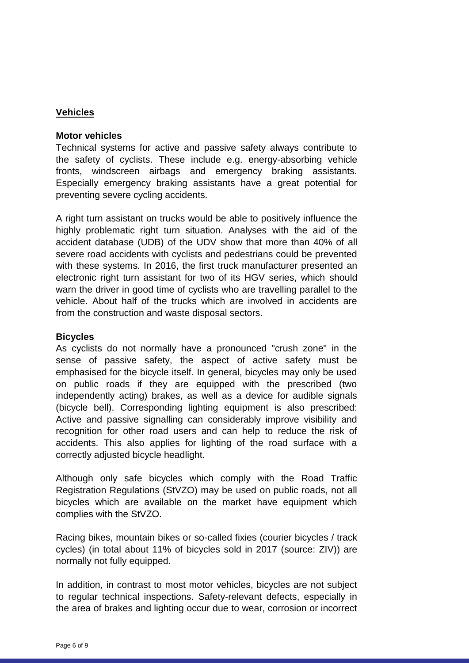## **Vehicles**

#### **Motor vehicles**

Technical systems for active and passive safety always contribute to the safety of cyclists. These include e.g. energy-absorbing vehicle fronts, windscreen airbags and emergency braking assistants. Especially emergency braking assistants have a great potential for preventing severe cycling accidents.

A right turn assistant on trucks would be able to positively influence the highly problematic right turn situation. Analyses with the aid of the accident database (UDB) of the UDV show that more than 40% of all severe road accidents with cyclists and pedestrians could be prevented with these systems. In 2016, the first truck manufacturer presented an electronic right turn assistant for two of its HGV series, which should warn the driver in good time of cyclists who are travelling parallel to the vehicle. About half of the trucks which are involved in accidents are from the construction and waste disposal sectors.

#### **Bicycles**

As cyclists do not normally have a pronounced "crush zone" in the sense of passive safety, the aspect of active safety must be emphasised for the bicycle itself. In general, bicycles may only be used on public roads if they are equipped with the prescribed (two independently acting) brakes, as well as a device for audible signals (bicycle bell). Corresponding lighting equipment is also prescribed: Active and passive signalling can considerably improve visibility and recognition for other road users and can help to reduce the risk of accidents. This also applies for lighting of the road surface with a correctly adjusted bicycle headlight.

Although only safe bicycles which comply with the Road Traffic Registration Regulations (StVZO) may be used on public roads, not all bicycles which are available on the market have equipment which complies with the StVZO.

Racing bikes, mountain bikes or so-called fixies (courier bicycles / track cycles) (in total about 11% of bicycles sold in 2017 (source: ZIV)) are normally not fully equipped.

In addition, in contrast to most motor vehicles, bicycles are not subject to regular technical inspections. Safety-relevant defects, especially in the area of brakes and lighting occur due to wear, corrosion or incorrect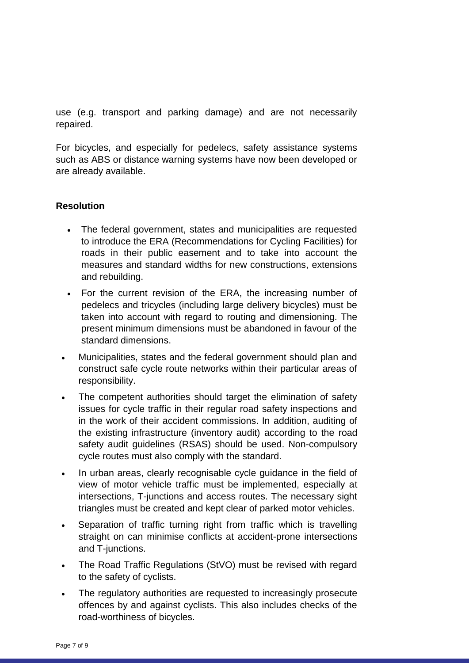use (e.g. transport and parking damage) and are not necessarily repaired.

For bicycles, and especially for pedelecs, safety assistance systems such as ABS or distance warning systems have now been developed or are already available.

## **Resolution**

- The federal government, states and municipalities are requested to introduce the ERA (Recommendations for Cycling Facilities) for roads in their public easement and to take into account the measures and standard widths for new constructions, extensions and rebuilding.
- For the current revision of the ERA, the increasing number of pedelecs and tricycles (including large delivery bicycles) must be taken into account with regard to routing and dimensioning. The present minimum dimensions must be abandoned in favour of the standard dimensions.
- Municipalities, states and the federal government should plan and construct safe cycle route networks within their particular areas of responsibility.
- The competent authorities should target the elimination of safety issues for cycle traffic in their regular road safety inspections and in the work of their accident commissions. In addition, auditing of the existing infrastructure (inventory audit) according to the road safety audit guidelines (RSAS) should be used. Non-compulsory cycle routes must also comply with the standard.
- In urban areas, clearly recognisable cycle guidance in the field of view of motor vehicle traffic must be implemented, especially at intersections, T-junctions and access routes. The necessary sight triangles must be created and kept clear of parked motor vehicles.
- Separation of traffic turning right from traffic which is travelling straight on can minimise conflicts at accident-prone intersections and T-junctions.
- The Road Traffic Regulations (StVO) must be revised with regard to the safety of cyclists.
- The regulatory authorities are requested to increasingly prosecute offences by and against cyclists. This also includes checks of the road-worthiness of bicycles.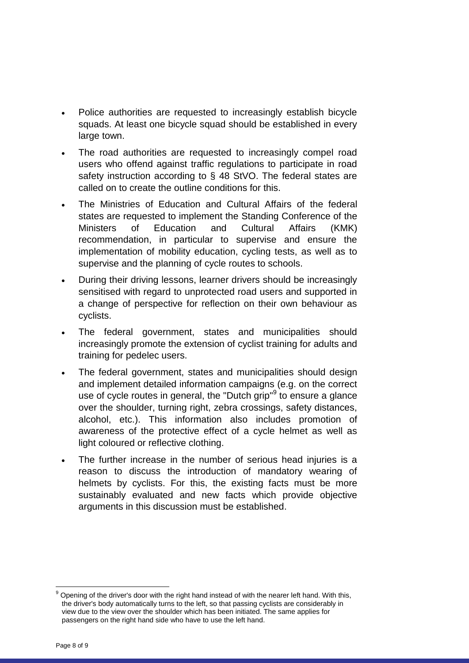- Police authorities are requested to increasingly establish bicycle squads. At least one bicycle squad should be established in every large town.
- The road authorities are requested to increasingly compel road users who offend against traffic regulations to participate in road safety instruction according to § 48 StVO. The federal states are called on to create the outline conditions for this.
- The Ministries of Education and Cultural Affairs of the federal states are requested to implement the Standing Conference of the Ministers of Education and Cultural Affairs (KMK) recommendation, in particular to supervise and ensure the implementation of mobility education, cycling tests, as well as to supervise and the planning of cycle routes to schools.
- During their driving lessons, learner drivers should be increasingly sensitised with regard to unprotected road users and supported in a change of perspective for reflection on their own behaviour as cyclists.
- The federal government, states and municipalities should increasingly promote the extension of cyclist training for adults and training for pedelec users.
- The federal government, states and municipalities should design and implement detailed information campaigns (e.g. on the correct use of cycle routes in general, the "Dutch grip"<sup>9</sup> to ensure a glance over the shoulder, turning right, zebra crossings, safety distances, alcohol, etc.). This information also includes promotion of awareness of the protective effect of a cycle helmet as well as light coloured or reflective clothing.
- The further increase in the number of serious head injuries is a reason to discuss the introduction of mandatory wearing of helmets by cyclists. For this, the existing facts must be more sustainably evaluated and new facts which provide objective arguments in this discussion must be established.

 $\overline{a}$ 

Opening of the driver's door with the right hand instead of with the nearer left hand. With this, the driver's body automatically turns to the left, so that passing cyclists are considerably in view due to the view over the shoulder which has been initiated. The same applies for passengers on the right hand side who have to use the left hand.